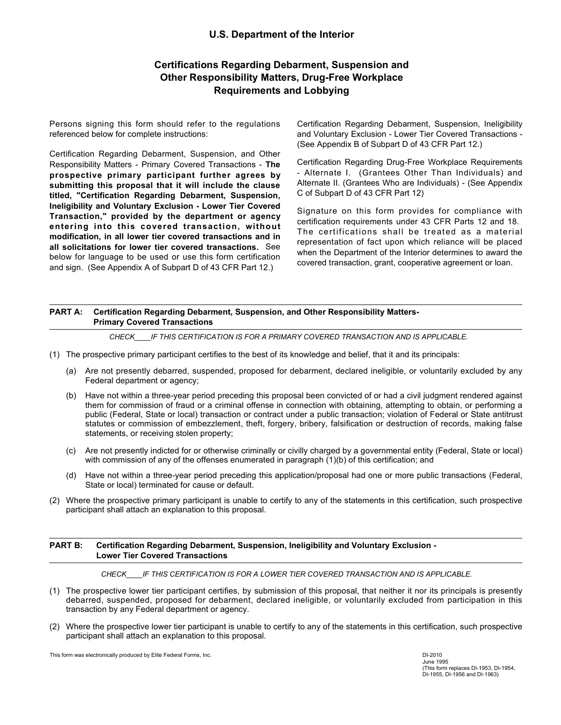## U.S. Department of the Interior

# Certifications Regarding Debarment, Suspension and Other Responsibility Matters, Drug-Free Workplace Requirements and Lobbying

Persons signing this form should refer to the regulations referenced below for complete instructions:

Certification Regarding Debarment, Suspension, and Other Responsibility Matters - Primary Covered Transactions - The Certification Regarding Drug-Free Workplace Requirements<br>Conspective primary participant further agrees by carefield (Grantees Other Than Individuals) and prospective primary participant further agrees by submitting this proposal that it will include the clause titled, "Certification Regarding Debarment, Suspension, Ineligibility and Voluntary Exclusion - Lower Tier Covered Transaction," provided by the department or agency entering into this covered transaction, without modification, in all lower tier covered transactions and in all solicitations for lower tier covered transactions. See below for language to be used or use this form certification and sign. (See Appendix A of Subpart D of 43 CFR Part 12.) Persons signing this form should refer to the regulations<br>
Certification Regarding Debarment, Suspension, Ineligibility<br>
onto Youkmay Exclusion - Lower Tier Covered Transactions<br>
Certification Regarding Debarments, Suspen enced below for complete instructions:<br>
(See Appendix Bo IS subspace in General Subspace in Consisting Records of Consisting Records Consisting Matters - Primary Covered Transactions - The<br>
Certification Regarding Drug-Fre Contribution is three-year period in the contribution Regarding Drug-Free-Workplace Requirements<br>(C) Have not proposed Transactions - The contribution and proposed been conviction in the proposed that it will include the c

Certification Regarding Debarment, Suspension, Ineligibility and Voluntary Exclusion - Lower Tier Covered Transactions - (See Appendix B of Subpart D of 43 CFR Part 12.)

Certification Regarding Drug-Free Workplace Requirements - Alternate I. (Grantees Other Than Individuals) and Alternate II. (Grantees Who are Individuals) - (See Appendix C of Subpart D of 43 CFR Part 12)

Signature on this form provides for compliance with certification requirements under 43 CFR Parts 12 and 18. The certifications shall be treated as a material representation of fact upon which reliance will be placed when the Department of the Interior determines to award the covered transaction, grant, cooperative agreement or loan.

#### PART A: Certification Regarding Debarment, Suspension, and Other Responsibility Matters-Primary Covered Transactions

CHECK IF THIS CERTIFICATION IS FOR A PRIMARY COVERED TRANSACTION AND IS APPLICABLE.

- - Federal department or agency;
- them for commission of fraud or a criminal offense in connection with obtaining, attempting to obtain, or performing a public (Federal, State or local) transaction or contract under a public transaction; violation of Federal or State antitrust statutes or commission of embezzlement, theft, forgery, bribery, falsification or destruction of records, making false statements, or receiving stolen property; Station," provided by the department or agency suppraction, which can the control in the case of computations of the state or or or or or or or outer the control terms of the case in a lot in all over the covered terms and Interaction, in all lower the covered transactions and in representation of fact upon which relations for buread with the placed or use this form certification<br>
when the Department of the Interior eleterimies to award the and sign. (See Appendix A of Subpart D of 43 CFR Part 12.) covered transaction, grant, cooperative agreement or loan.<br>
PART A: Certification Regarding Debarment, Suspension, and Other Responsibility Matters-<br>
PHIMARY COVER (1) The prospective primary participant certifies to the best of its knowledge and belief, that it and its principals:<br>
(a) Are not presently debarred, suspended, proposed for debarrent, declared ineligible, or voluntaril (b) Have not within a three-year period preseding this proposal been convicted of or had a civilipulament endered against<br>the prospective lower tier particle and State in Control of Certification of control and the statem
	- with commission of any of the offenses enumerated in paragraph  $(1)(b)$  of this certification; and
	- State or local) terminated for cause or default.
- participant shall attach an explanation to this proposal.

#### PART B: Certification Regarding Debarment, Suspension, Ineligibility and Voluntary Exclusion - Lower Tier Covered Transactions

CHECK IF THIS CERTIFICATION IS FOR A LOWER TIER COVERED TRANSACTION AND IS APPLICABLE.

- debarred, suspended, proposed for debarment, declared ineligible, or voluntarily excluded from participation in this transaction by any Federal department or agency.
- participant shall attach an explanation to this proposal.

This form was electronically produced by Elite Federal Forms, Inc.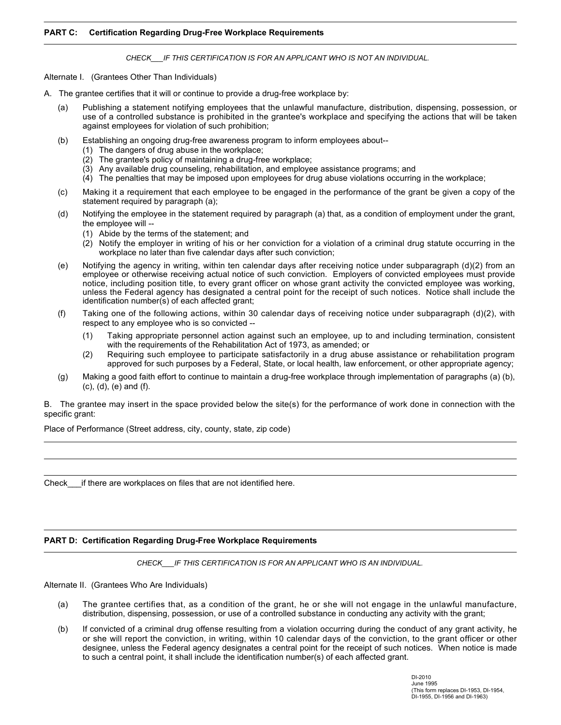#### PART C: Certification Regarding Drug-Free Workplace Requirements

CHECK IF THIS CERTIFICATION IS FOR AN APPLICANT WHO IS NOT AN INDIVIDUAL.

Alternate I. (Grantees Other Than Individuals)

- **PART C:** Certification Regarding Drug-Free Workplace Requirements<br>
CHECK LF THIS CERTIFICATION IS FOR AN APPLICANT WHO IS NOT AN INDIVIDUAL.<br>
Alternate I. (Grantees Other Than Individuals)<br>
A. The grantee certifies that i RT C: Certification Regarding Drug-Free Workplace Requirements<br>
CHECK\_\_IF THIS CERTIFICATION IS FOR AN APPLICANT WHO IS NOT AN INDIVIDUAL.<br>
The grantee certifies that it will or continue to provide a drug-free workplace by use of a controlled substance is prohibited in the grantee's workplace and specifying the actions that will be taken against employees for violation of such prohibition; (b) Establishing and the produce of the grander of the granite of the granite of the granite (c) Medicine and the produce and specific and the granite certifies that it will or continue to provide a drug-free workplace by: RT C: **Certification Regarding Drug-Free Workplace Requirements**<br>
CHECK FT THIS CERTIFICATION IS FOR AN APPLICANT WHO IS NOT AN INDIVIDUAL.<br>
The grantee certifies that It will or continue to provide a drug-free workplace RT C: **Certification Regarding Drug-Free Workplace Requirements**<br>  $CHECK_{\_}/FTHIS CERTHECATION IS FOR ANAPELCANT WHOIS NOT AN INDIVIDUAL.$ <br>
That employees that the unleavidal manufacture, distribution, dispensing, possession, or<br>
(a) Publishing a statement no
	- - (1) The dangers of drug abuse in the workplace;
		- (2) The grantee's policy of maintaining a drug-free workplace;
		- (3) Any available drug counseling, rehabilitation, and employee assistance programs; and
		- (4) The penalties that may be imposed upon employees for drug abuse violations occurring in the workplace;
	- statement required by paragraph (a);
	- the employee will --
		- (1) Abide by the terms of the statement; and
		- (2) Notify the employer in writing of his or her conviction for a violation of a criminal drug statute occurring in the workplace no later than five calendar days after such conviction;
- **ET C: Contification Regarding Drug-Free Workplace Requirements**<br>
CHECK\_\_IF THIS CERTIFICATION IS FOR AN APPLICANT WHO IS NOT AN INDIVIDUAL.<br>
That is calendar the agency in the agency in the granite controlled substance employee or otherwise receiving actual notice of such conviction. Employers of convicted employees must provide notice, including position title, to every grant officer on whose grant activity the convicted employee was working, unless the Federal agency has designated a central point for the receipt of such notices. Notice shall include the identification number(s) of each affected grant; mate 1. (Grantees Other Than Individuals)<br>
The grantee certifies that it will or continue to provide a drug-free workplace by:<br>
The grantee of the following employees that the unlawful manufacture, distribution, dispensing (b) Establishing an ongoing drug-free awareness program to inform employees about-<br>
(2) The grantes's policy of maintaining a drug-free workplace;<br>
(2) Any available drug counseling, rehabilitation, and employee assistanc (3) Any available drug counseling, in-mailitation, and employee somes assistance programs; and the space provided below the state in molecule state in the space of the state in the state in the state in the state in the s
	- respect to any employee who is so convicted --
		- (1) Taking appropriate personnel action against such an employee, up to and including termination, consistent with the requirements of the Rehabilitation Act of 1973, as amended; or
		- (2) Requiring such employee to participate satisfactorily in a drug abuse assistance or rehabilitation program approved for such purposes by a Federal, State, or local health, law enforcement, or other appropriate agency;
	- (c), (d), (e) and (f).

specific grant:

Place of Performance (Street address, city, county, state, zip code)

Check if there are workplaces on files that are not identified here.

#### PART D: Certification Regarding Drug-Free Workplace Requirements

CHECK IF THIS CERTIFICATION IS FOR AN APPLICANT WHO IS AN INDIVIDUAL.

Alternate II. (Grantees Who Are Individuals)

- distribution, dispensing, possession, or use of a controlled substance in conducting any activity with the grant;
- (g) Making a pool aftilt effort to continue to maintain a drug-free workplace through implementation of paragraphs (a) (b), (c), (d), (e) and (f).<br>
(c), (d), (e) and (f).<br>
(c), (d), (e) and (f).<br>
The grantee may insert in The grante may insert in the space provided below the ste(s) for the performance of work done in connection with the<br>offic grant:<br>  $\begin{array}{rcl}\n\text{The grante may insert the degrees of lines that are not identified here.}\n\end{array}$ <br>
EXT D: Certification Regarding Drug-Free Workplace R or she will report the conviction, in writing, within 10 calendar days of the conviction, to the grant officer or other designee, unless the Federal agency designates a central point for the receipt of such notices. When notice is made to such a central point, it shall include the identification number(s) of each affected grant.